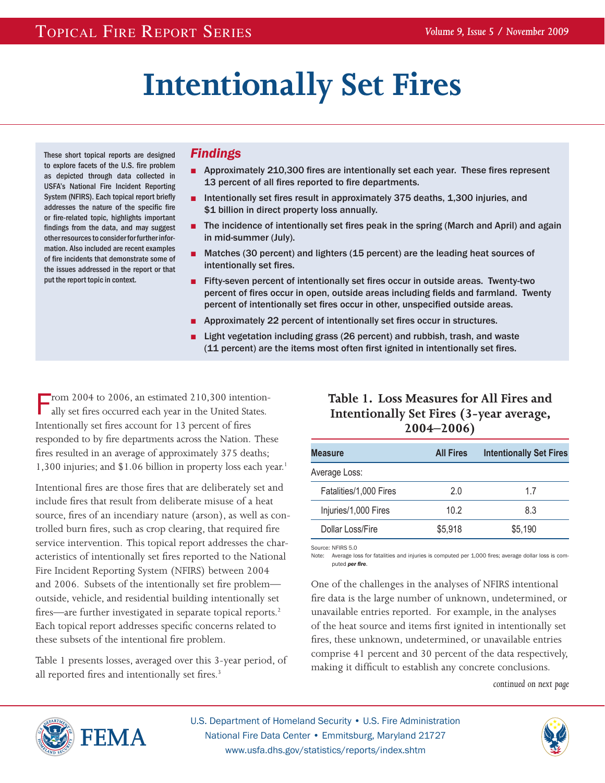# **Intentionally Set Fires**

These short topical reports are designed to explore facets of the U.S. fire problem as depicted through data collected in USFA's National Fire Incident Reporting System (NFIRS). Each topical report briefly addresses the nature of the specific fire or fire-related topic, highlights important findings from the data, and may suggest other resources to consider for further information. Also included are recent examples of fire incidents that demonstrate some of the issues addressed in the report or that put the report topic in context.

#### *Findings*

- Approximately 210,300 fires are intentionally set each year. These fires represent 13 percent of all fires reported to fire departments.
- Intentionally set fires result in approximately 375 deaths, 1,300 injuries, and \$1 billion in direct property loss annually.
- The incidence of intentionally set fires peak in the spring (March and April) and again in mid-summer (July).
- Matches (30 percent) and lighters (15 percent) are the leading heat sources of intentionally set fires.
- Fifty-seven percent of intentionally set fires occur in outside areas. Twenty-two percent of fires occur in open, outside areas including fields and farmland. Twenty percent of intentionally set fires occur in other, unspecified outside areas.
- Approximately 22 percent of intentionally set fires occur in structures.
- Light vegetation including grass (26 percent) and rubbish, trash, and waste (11 percent) are the items most often first ignited in intentionally set fires.

Trom 2004 to 2006, an estimated 210,300 intentionally set fires occurred each year in the United States. Intentionally set fires account for 13 percent of fires responded to by fire departments across the Nation. These fires resulted in an average of approximately 375 deaths; 1,300 injuries; and \$1.06 billion in property loss each year.<sup>1</sup>

Intentional fires are those fires that are deliberately set and include fires that result from deliberate misuse of a heat source, fires of an incendiary nature (arson), as well as controlled burn fires, such as crop clearing, that required fire service intervention. This topical report addresses the characteristics of intentionally set fires reported to the National Fire Incident Reporting System (NFIRS) between 2004 and 2006. Subsets of the intentionally set fire problem outside, vehicle, and residential building intentionally set fires—are further investigated in separate topical reports.<sup>2</sup> Each topical report addresses specific concerns related to these subsets of the intentional fire problem.

Table 1 presents losses, averaged over this 3-year period, of all reported fires and intentionally set fires.<sup>3</sup>

## **Table 1. Loss Measures for All Fires and Intentionally Set Fires (3-year average, 2004–2006)**

| <b>Measure</b>         | <b>All Fires</b> | <b>Intentionally Set Fires</b> |
|------------------------|------------------|--------------------------------|
| Average Loss:          |                  |                                |
| Fatalities/1,000 Fires | 2.0              | 17                             |
| Injuries/1,000 Fires   | 10.2             | 8.3                            |
| Dollar Loss/Fire       | \$5,918          | \$5,190                        |

Source: NFIRS 5.0

Note: Average loss for fatalities and injuries is computed per 1,000 fires; average dollar loss is computed *per fire*.

One of the challenges in the analyses of NFIRS intentional fire data is the large number of unknown, undetermined, or unavailable entries reported. For example, in the analyses of the heat source and items first ignited in intentionally set fires, these unknown, undetermined, or unavailable entries comprise 41 percent and 30 percent of the data respectively, making it difficult to establish any concrete conclusions.

*continued on next page*



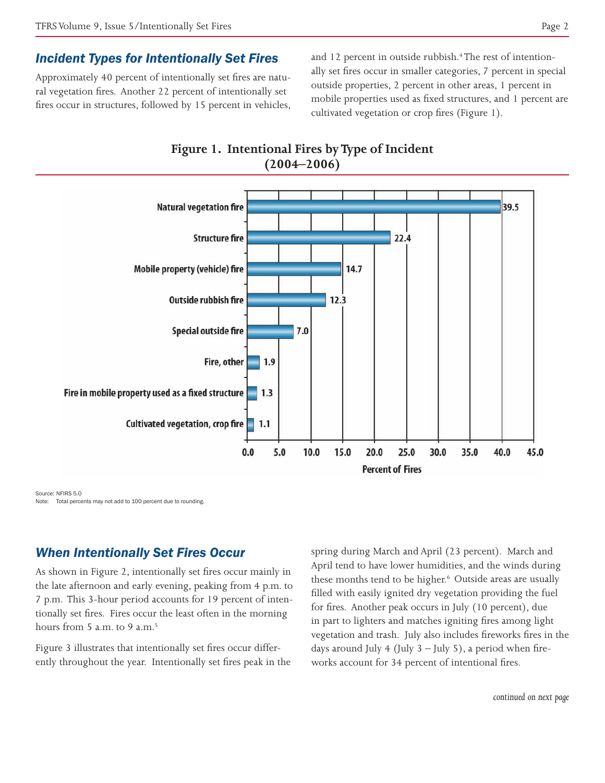#### *Incident Types for Intentionally Set Fires*

Approximately 40 percent of intentionally set fires are natural vegetation fires. Another 22 percent of intentionally set fires occur in structures, followed by 15 percent in vehicles,

and 12 percent in outside rubbish.<sup>4</sup> The rest of intentionally set fires occur in smaller categories, 7 percent in special outside properties, 2 percent in other areas, 1 percent in mobile properties used as fixed structures, and 1 percent are cultivated vegetation or crop fires (Figure 1).



**Figure 1. Intentional Fires by Type of Incident** 

Source: NFIRS 5.0 Note: Total percents may not add to 100 percent due to rounding.

#### *When Intentionally Set Fires Occur*

As shown in Figure 2, intentionally set fires occur mainly in the late afternoon and early evening, peaking from 4 p.m. to 7 p.m. This 3-hour period accounts for 19 percent of intentionally set fires. Fires occur the least often in the morning hours from  $5$  a.m. to  $9$  a.m.<sup>5</sup>

Figure 3 illustrates that intentionally set fires occur differently throughout the year. Intentionally set fires peak in the spring during March and April (23 percent). March and April tend to have lower humidities, and the winds during these months tend to be higher.<sup>6</sup> Outside areas are usually filled with easily ignited dry vegetation providing the fuel for fires. Another peak occurs in July (10 percent), due in part to lighters and matches igniting fires among light vegetation and trash. July also includes fireworks fires in the days around July 4 (July  $3$  – July 5), a period when fireworks account for 34 percent of intentional fires.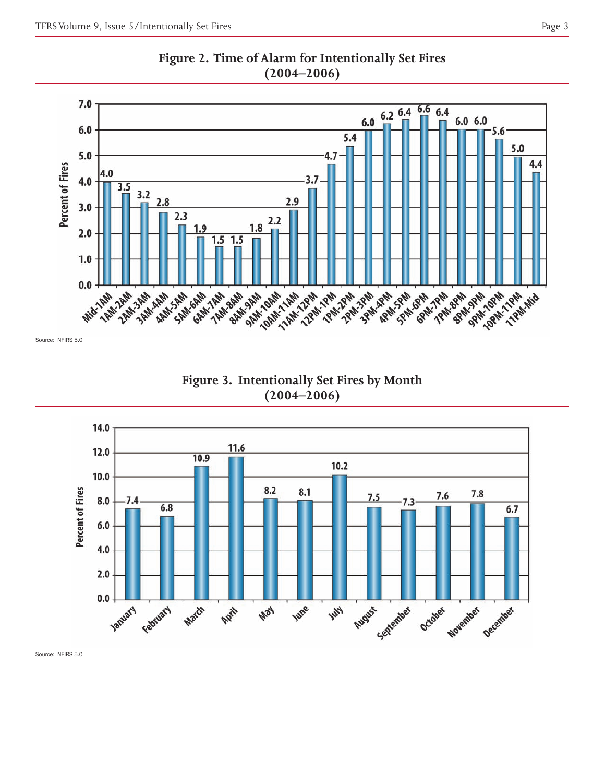



Source: NFIRS 5.0

**Figure 3. Intentionally Set Fires by Month (2004–2006)**



Source: NFIRS 5.0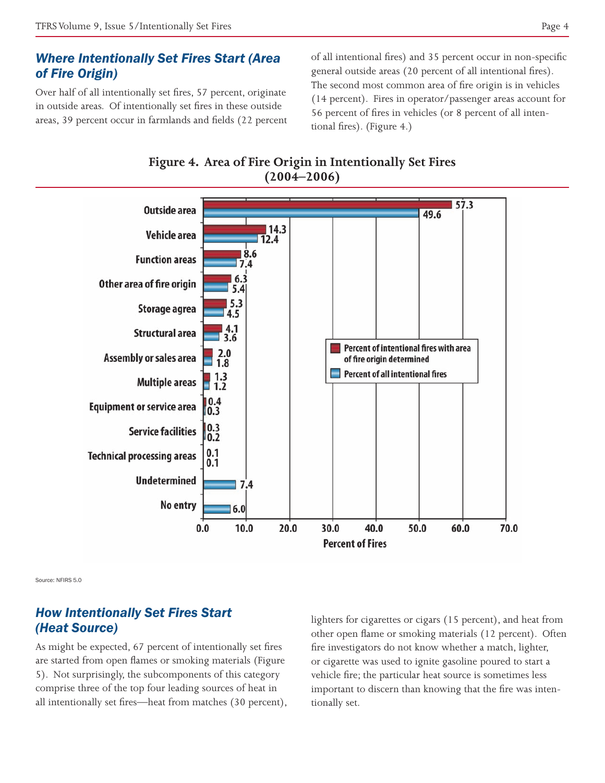#### *Where Intentionally Set Fires Start (Area of Fire Origin)*

Over half of all intentionally set fires, 57 percent, originate in outside areas. Of intentionally set fires in these outside areas, 39 percent occur in farmlands and fields (22 percent of all intentional fires) and 35 percent occur in non-specific general outside areas (20 percent of all intentional fires). The second most common area of fire origin is in vehicles (14 percent). Fires in operator/passenger areas account for 56 percent of fires in vehicles (or 8 percent of all intentional fires). (Figure 4.)



**Figure 4. Area of Fire Origin in Intentionally Set Fires (2004–2006)**

Source: NFIRS 5.0

#### *How Intentionally Set Fires Start (Heat Source)*

As might be expected, 67 percent of intentionally set fires are started from open flames or smoking materials (Figure 5). Not surprisingly, the subcomponents of this category comprise three of the top four leading sources of heat in all intentionally set fires—heat from matches (30 percent), lighters for cigarettes or cigars (15 percent), and heat from other open flame or smoking materials (12 percent). Often fire investigators do not know whether a match, lighter, or cigarette was used to ignite gasoline poured to start a vehicle fire; the particular heat source is sometimes less important to discern than knowing that the fire was intentionally set.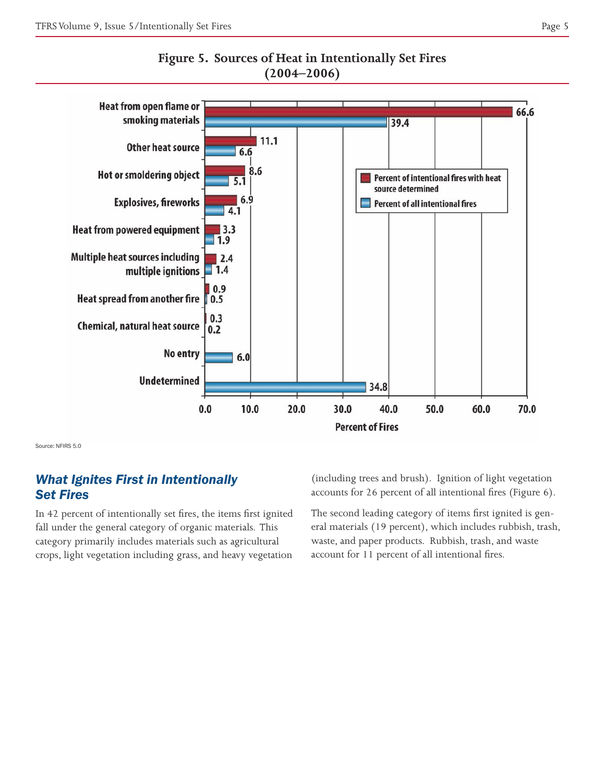

**Figure 5. Sources of Heat in Intentionally Set Fires (2004–2006)**

Source: NFIRS 5.0

## *What Ignites First in Intentionally Set Fires*

In 42 percent of intentionally set fires, the items first ignited fall under the general category of organic materials. This category primarily includes materials such as agricultural crops, light vegetation including grass, and heavy vegetation

(including trees and brush). Ignition of light vegetation accounts for 26 percent of all intentional fires (Figure 6).

The second leading category of items first ignited is general materials (19 percent), which includes rubbish, trash, waste, and paper products. Rubbish, trash, and waste account for 11 percent of all intentional fires.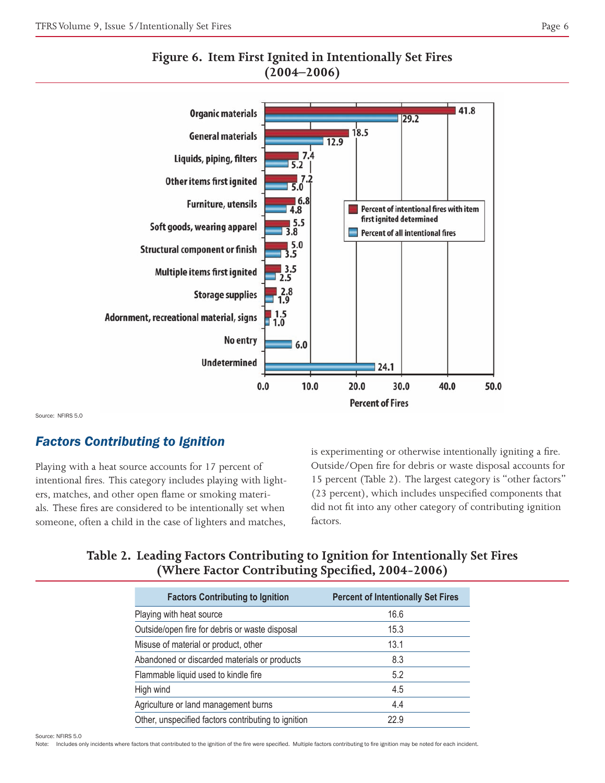



Source: NFIRS 5.0

# *Factors Contributing to Ignition*

Playing with a heat source accounts for 17 percent of intentional fires. This category includes playing with lighters, matches, and other open flame or smoking materials. These fires are considered to be intentionally set when someone, often a child in the case of lighters and matches,

is experimenting or otherwise intentionally igniting a fire. Outside/Open fire for debris or waste disposal accounts for 15 percent (Table 2). The largest category is "other factors" (23 percent), which includes unspecified components that did not fit into any other category of contributing ignition factors.

## **Table 2. Leading Factors Contributing to Ignition for Intentionally Set Fires (Where Factor Contributing Specified, 2004-2006)**

| <b>Factors Contributing to Ignition</b>             | <b>Percent of Intentionally Set Fires</b> |
|-----------------------------------------------------|-------------------------------------------|
| Playing with heat source                            | 16.6                                      |
| Outside/open fire for debris or waste disposal      | 15.3                                      |
| Misuse of material or product, other                | 13.1                                      |
| Abandoned or discarded materials or products        | 8.3                                       |
| Flammable liquid used to kindle fire                | 5.2                                       |
| High wind                                           | 4.5                                       |
| Agriculture or land management burns                | 4.4                                       |
| Other, unspecified factors contributing to ignition | 22.9                                      |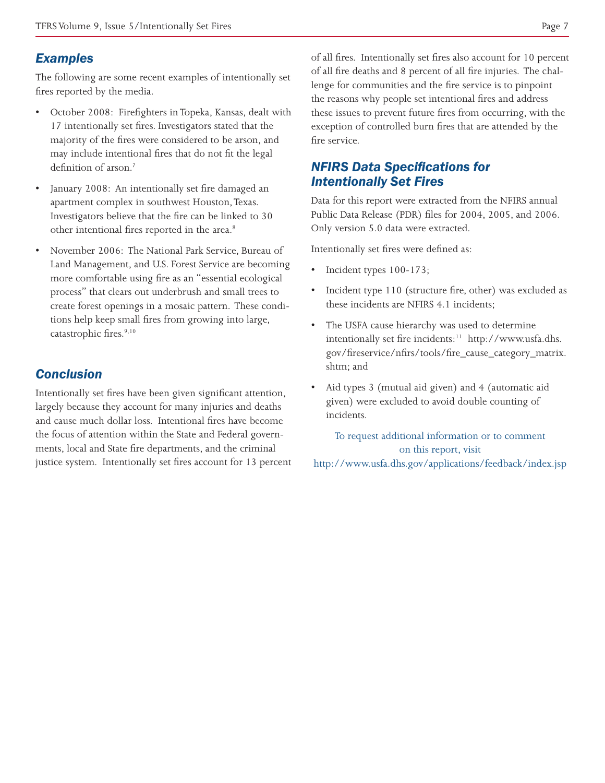## *Examples*

The following are some recent examples of intentionally set fires reported by the media.

- October 2008: Firefighters in Topeka, Kansas, dealt with 17 intentionally set fires. Investigators stated that the majority of the fires were considered to be arson, and may include intentional fires that do not fit the legal definition of arson.<sup>7</sup>
- January 2008: An intentionally set fire damaged an apartment complex in southwest Houston, Texas. Investigators believe that the fire can be linked to 30 other intentional fires reported in the area.<sup>8</sup>
- November 2006: The National Park Service, Bureau of Land Management, and U.S. Forest Service are becoming more comfortable using fire as an "essential ecological process" that clears out underbrush and small trees to create forest openings in a mosaic pattern. These conditions help keep small fires from growing into large, catastrophic fires.<sup>9,10</sup>

# *Conclusion*

Intentionally set fires have been given significant attention, largely because they account for many injuries and deaths and cause much dollar loss. Intentional fires have become the focus of attention within the State and Federal governments, local and State fire departments, and the criminal justice system. Intentionally set fires account for 13 percent of all fires. Intentionally set fires also account for 10 percent of all fire deaths and 8 percent of all fire injuries. The challenge for communities and the fire service is to pinpoint the reasons why people set intentional fires and address these issues to prevent future fires from occurring, with the exception of controlled burn fires that are attended by the fire service.

# *NFIRS Data Specifications for Intentionally Set Fires*

Data for this report were extracted from the NFIRS annual Public Data Release (PDR) files for 2004, 2005, and 2006. Only version 5.0 data were extracted.

Intentionally set fires were defined as:

- Incident types 100-173;
- Incident type 110 (structure fire, other) was excluded as these incidents are NFIRS 4.1 incidents;
- The USFA cause hierarchy was used to determine intentionally set fire incidents:<sup>11</sup> [http://www.usfa.dhs.](http://www.usfa.dhs.gov/fireservice/nfirs/tools/fire_cause_category_matrix.shtm) [gov/fireservice/nfirs/tools/fire\\_cause\\_category\\_matrix.](http://www.usfa.dhs.gov/fireservice/nfirs/tools/fire_cause_category_matrix.shtm) [shtm](http://www.usfa.dhs.gov/fireservice/nfirs/tools/fire_cause_category_matrix.shtm); and
- Aid types 3 (mutual aid given) and 4 (automatic aid given) were excluded to avoid double counting of incidents.

To request additional information or to comment on this report, visit <http://www.usfa.dhs.gov/applications/feedback/index.jsp>